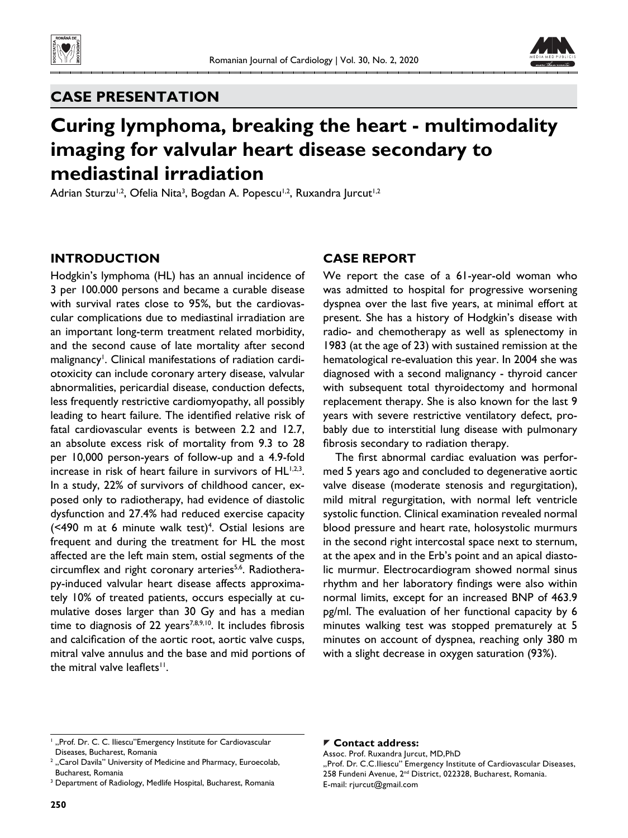



## **CASE PRESENTATION**

# **Curing lymphoma, breaking the heart - multimodality imaging for valvular heart disease secondary to mediastinal irradiation**

Adrian Sturzu<sup>1,2</sup>, Ofelia Nita<sup>3</sup>, Bogdan A. Popescu<sup>1,2</sup>, Ruxandra Jurcut<sup>1,2</sup>

## **INTRODUCTION**

Hodgkin's lymphoma (HL) has an annual incidence of 3 per 100.000 persons and became a curable disease with survival rates close to 95%, but the cardiovascular complications due to mediastinal irradiation are an important long-term treatment related morbidity, and the second cause of late mortality after second malignancy<sup>1</sup>. Clinical manifestations of radiation cardiotoxicity can include coronary artery disease, valvular abnormalities, pericardial disease, conduction defects, less frequently restrictive cardiomyopathy, all possibly leading to heart failure. The identified relative risk of fatal cardiovascular events is between 2.2 and 12.7, an absolute excess risk of mortality from 9.3 to 28 per 10,000 person-years of follow-up and a 4.9-fold increase in risk of heart failure in survivors of HL<sup>1,2,3</sup>. In a study, 22% of survivors of childhood cancer, exposed only to radiotherapy, had evidence of diastolic dysfunction and 27.4% had reduced exercise capacity  $($  <490 m at 6 minute walk test $)$ <sup>4</sup>. Ostial lesions are frequent and during the treatment for HL the most affected are the left main stem, ostial segments of the circumflex and right coronary arteries<sup>5,6</sup>. Radiotherapy-induced valvular heart disease affects approximately 10% of treated patients, occurs especially at cumulative doses larger than 30 Gy and has a median time to diagnosis of 22 years<sup>7,8,9,10</sup>. It includes fibrosis and calcification of the aortic root, aortic valve cusps, mitral valve annulus and the base and mid portions of the mitral valve leaflets<sup>11</sup>.

## **CASE REPORT**

We report the case of a 61-year-old woman who was admitted to hospital for progressive worsening dyspnea over the last five years, at minimal effort at present. She has a history of Hodgkin's disease with radio- and chemotherapy as well as splenectomy in 1983 (at the age of 23) with sustained remission at the hematological re-evaluation this year. In 2004 she was diagnosed with a second malignancy - thyroid cancer with subsequent total thyroidectomy and hormonal replacement therapy. She is also known for the last 9 years with severe restrictive ventilatory defect, probably due to interstitial lung disease with pulmonary fibrosis secondary to radiation therapy.

The first abnormal cardiac evaluation was performed 5 years ago and concluded to degenerative aortic valve disease (moderate stenosis and regurgitation), mild mitral regurgitation, with normal left ventricle systolic function. Clinical examination revealed normal blood pressure and heart rate, holosystolic murmurs in the second right intercostal space next to sternum, at the apex and in the Erb's point and an apical diastolic murmur. Electrocardiogram showed normal sinus rhythm and her laboratory findings were also within normal limits, except for an increased BNP of 463.9 pg/ml. The evaluation of her functional capacity by 6 minutes walking test was stopped prematurely at 5 minutes on account of dyspnea, reaching only 380 m with a slight decrease in oxygen saturation (93%).

#### **Contact address:**

Assoc. Prof. Ruxandra Jurcut, MD,PhD "Prof. Dr. C.C.Iliescu" Emergency Institute of Cardiovascular Diseases, 258 Fundeni Avenue, 2nd District, 022328, Bucharest, Romania. E-mail: rjurcut@gmail.com

<sup>&</sup>lt;sup>1</sup> "Prof. Dr. C. C. Iliescu"Emergency Institute for Cardiovascular Diseases, Bucharest, Romania

 $<sup>2</sup>$  "Carol Davila" University of Medicine and Pharmacy, Euroecolab,</sup> Bucharest, Romania

<sup>&</sup>lt;sup>3</sup> Department of Radiology, Medlife Hospital, Bucharest, Romania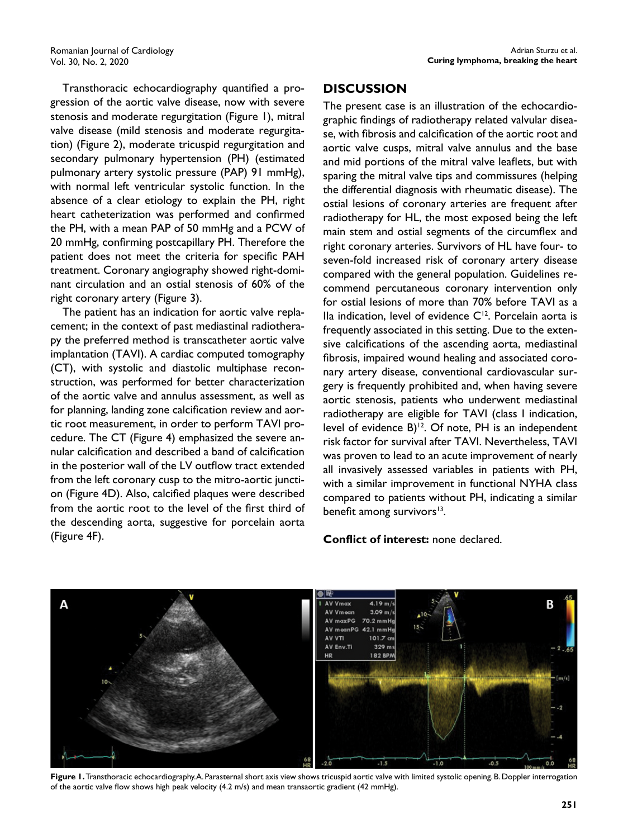Transthoracic echocardiography quantified a progression of the aortic valve disease, now with severe stenosis and moderate regurgitation (Figure 1), mitral valve disease (mild stenosis and moderate regurgitation) (Figure 2), moderate tricuspid regurgitation and secondary pulmonary hypertension (PH) (estimated pulmonary artery systolic pressure (PAP) 91 mmHg), with normal left ventricular systolic function. In the absence of a clear etiology to explain the PH, right heart catheterization was performed and confirmed the PH, with a mean PAP of 50 mmHg and a PCW of 20 mmHg, confirming postcapillary PH. Therefore the patient does not meet the criteria for specific PAH treatment. Coronary angiography showed right-dominant circulation and an ostial stenosis of 60% of the right coronary artery (Figure 3).

The patient has an indication for aortic valve replacement; in the context of past mediastinal radiotherapy the preferred method is transcatheter aortic valve implantation (TAVI). A cardiac computed tomography (CT), with systolic and diastolic multiphase reconstruction, was performed for better characterization of the aortic valve and annulus assessment, as well as for planning, landing zone calcification review and aortic root measurement, in order to perform TAVI procedure. The CT (Figure 4) emphasized the severe annular calcification and described a band of calcification in the posterior wall of the LV outflow tract extended from the left coronary cusp to the mitro-aortic junction (Figure 4D). Also, calcified plaques were described from the aortic root to the level of the first third of the descending aorta, suggestive for porcelain aorta (Figure 4F).

## **DISCUSSION**

The present case is an illustration of the echocardiographic findings of radiotherapy related valvular disease, with fibrosis and calcification of the aortic root and aortic valve cusps, mitral valve annulus and the base and mid portions of the mitral valve leaflets, but with sparing the mitral valve tips and commissures (helping the differential diagnosis with rheumatic disease). The ostial lesions of coronary arteries are frequent after radiotherapy for HL, the most exposed being the left main stem and ostial segments of the circumflex and right coronary arteries. Survivors of HL have four- to seven-fold increased risk of coronary artery disease compared with the general population. Guidelines recommend percutaneous coronary intervention only for ostial lesions of more than 70% before TAVI as a Ila indication, level of evidence  $C<sup>12</sup>$ . Porcelain aorta is frequently associated in this setting. Due to the extensive calcifications of the ascending aorta, mediastinal fibrosis, impaired wound healing and associated coronary artery disease, conventional cardiovascular surgery is frequently prohibited and, when having severe aortic stenosis, patients who underwent mediastinal radiotherapy are eligible for TAVI (class I indication, level of evidence  $B$ <sup>12</sup>. Of note, PH is an independent risk factor for survival after TAVI. Nevertheless, TAVI was proven to lead to an acute improvement of nearly all invasively assessed variables in patients with PH, with a similar improvement in functional NYHA class compared to patients without PH, indicating a similar benefit among survivors<sup>13</sup>.

### **Conflict of interest:** none declared.



Figure 1. Transthoracic echocardiography. A. Parasternal short axis view shows tricuspid aortic valve with limited systolic opening. B. Doppler interrogation of the aortic valve flow shows high peak velocity  $(4.2 \text{ m/s})$  and mean transaortic gradient  $(42 \text{ mmHg})$ .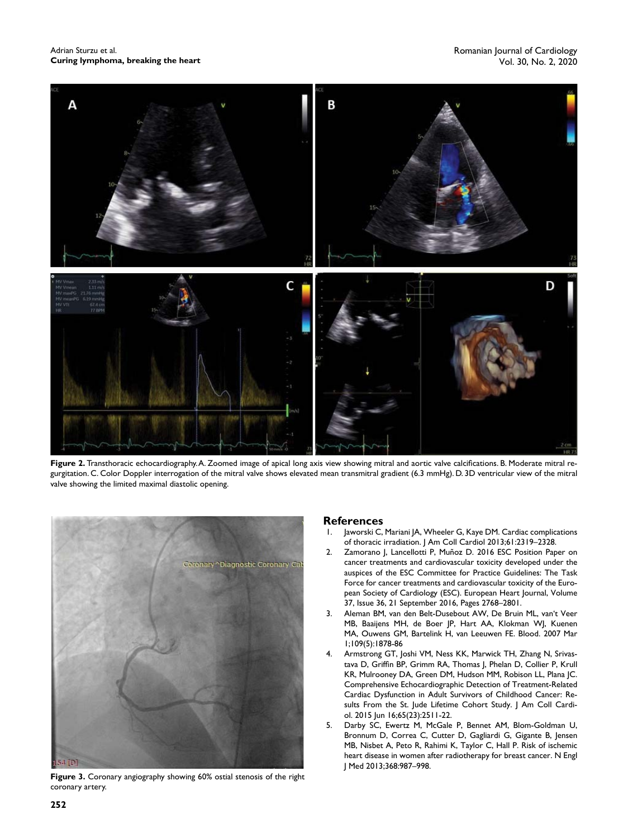Adrian Sturzu et al. **Curing lymphoma, breaking the heart**



Figure 2. Transthoracic echocardiography. A. Zoomed image of apical long axis view showing mitral and aortic valve calcifications. B. Moderate mitral regurgitation. C. Color Doppler interrogation of the mitral valve shows elevated mean transmitral gradient (6.3 mmHg). D. 3D ventricular view of the mitral valve showing the limited maximal diastolic opening.



**Figure 3.** Coronary angiography showing 60% ostial stenosis of the right coronary artery.

#### **References**

- 1. Jaworski C, Mariani JA, Wheeler G, Kaye DM. Cardiac complications of thoracic irradiation. | Am Coll Cardiol 2013;61:2319-2328.
- 2. Zamorano J, Lancellotti P, Muñoz D. 2016 ESC Position Paper on cancer treatments and cardiovascular toxicity developed under the auspices of the ESC Committee for Practice Guidelines: The Task Force for cancer treatments and cardiovascular toxicity of the European Society of Cardiology (ESC). European Heart Journal, Volume 37, Issue 36, 21 September 2016, Pages 2768–2801.
- 3. Aleman BM, van den Belt-Dusebout AW, De Bruin ML, van't Veer MB, Baaijens MH, de Boer JP, Hart AA, Klokman WJ, Kuenen MA, Ouwens GM, Bartelink H, van Leeuwen FE. Blood. 2007 Mar 1;109(5):1878-86
- 4. Armstrong GT, Joshi VM, Ness KK, Marwick TH, Zhang N, Srivastava D, Griffin BP, Grimm RA, Thomas J, Phelan D, Collier P, Krull KR, Mulrooney DA, Green DM, Hudson MM, Robison LL, Plana JC. Comprehensive Echocardiographic Detection of Treatment-Related Cardiac Dysfunction in Adult Survivors of Childhood Cancer: Results From the St. Jude Lifetime Cohort Study. J Am Coll Cardiol. 2015 Jun 16;65(23):2511-22.
- 5. Darby SC, Ewertz M, McGale P, Bennet AM, Blom-Goldman U, Bronnum D, Correa C, Cutter D, Gagliardi G, Gigante B, Jensen MB, Nisbet A, Peto R, Rahimi K, Taylor C, Hall P. Risk of ischemic heart disease in women after radiotherapy for breast cancer. N Engl J Med 2013;368:987–998.